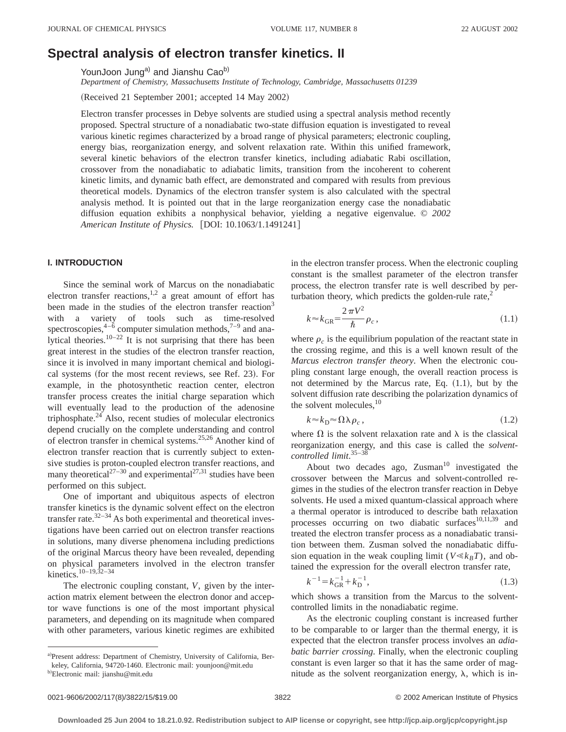# **Spectral analysis of electron transfer kinetics. II**

YounJoon Jung<sup>a)</sup> and Jianshu Cao<sup>b)</sup>

*Department of Chemistry, Massachusetts Institute of Technology, Cambridge, Massachusetts 01239*

(Received 21 September 2001; accepted 14 May 2002)

Electron transfer processes in Debye solvents are studied using a spectral analysis method recently proposed. Spectral structure of a nonadiabatic two-state diffusion equation is investigated to reveal various kinetic regimes characterized by a broad range of physical parameters; electronic coupling, energy bias, reorganization energy, and solvent relaxation rate. Within this unified framework, several kinetic behaviors of the electron transfer kinetics, including adiabatic Rabi oscillation, crossover from the nonadiabatic to adiabatic limits, transition from the incoherent to coherent kinetic limits, and dynamic bath effect, are demonstrated and compared with results from previous theoretical models. Dynamics of the electron transfer system is also calculated with the spectral analysis method. It is pointed out that in the large reorganization energy case the nonadiabatic diffusion equation exhibits a nonphysical behavior, yielding a negative eigenvalue. © *2002 American Institute of Physics.* [DOI: 10.1063/1.1491241]

# **I. INTRODUCTION**

Since the seminal work of Marcus on the nonadiabatic electron transfer reactions,<sup>1,2</sup> a great amount of effort has been made in the studies of the electron transfer reaction<sup>3</sup> with a variety of tools such as time-resolved spectroscopies,  $4-\delta$  computer simulation methods,  $7-\delta$  and analytical theories.<sup>10–22</sup> It is not surprising that there has been great interest in the studies of the electron transfer reaction, since it is involved in many important chemical and biological systems (for the most recent reviews, see Ref. 23). For example, in the photosynthetic reaction center, electron transfer process creates the initial charge separation which will eventually lead to the production of the adenosine triphosphate. $^{24}$  Also, recent studies of molecular electronics depend crucially on the complete understanding and control of electron transfer in chemical systems.25,26 Another kind of electron transfer reaction that is currently subject to extensive studies is proton-coupled electron transfer reactions, and many theoretical<sup>27–30</sup> and experimental<sup>27,31</sup> studies have been performed on this subject.

One of important and ubiquitous aspects of electron transfer kinetics is the dynamic solvent effect on the electron transfer rate. $32-34$  As both experimental and theoretical investigations have been carried out on electron transfer reactions in solutions, many diverse phenomena including predictions of the original Marcus theory have been revealed, depending on physical parameters involved in the electron transfer kinetics.<sup>10–19,32–34</sup>

The electronic coupling constant, *V*, given by the interaction matrix element between the electron donor and acceptor wave functions is one of the most important physical parameters, and depending on its magnitude when compared with other parameters, various kinetic regimes are exhibited in the electron transfer process. When the electronic coupling constant is the smallest parameter of the electron transfer process, the electron transfer rate is well described by perturbation theory, which predicts the golden-rule rate, $2$ 

$$
k \approx k_{\rm GR} = \frac{2\,\pi V^2}{\hbar} \rho_c \,,\tag{1.1}
$$

where  $\rho_c$  is the equilibrium population of the reactant state in the crossing regime, and this is a well known result of the *Marcus electron transfer theory*. When the electronic coupling constant large enough, the overall reaction process is not determined by the Marcus rate, Eq.  $(1.1)$ , but by the solvent diffusion rate describing the polarization dynamics of the solvent molecules, 10

$$
k \approx k_{\rm D} \approx \Omega \lambda \rho_c \,,\tag{1.2}
$$

where  $\Omega$  is the solvent relaxation rate and  $\lambda$  is the classical reorganization energy, and this case is called the *solventcontrolled limit*. 35–38

About two decades ago,  $Zusman<sup>10</sup>$  investigated the crossover between the Marcus and solvent-controlled regimes in the studies of the electron transfer reaction in Debye solvents. He used a mixed quantum-classical approach where a thermal operator is introduced to describe bath relaxation processes occurring on two diabatic surfaces<sup>10,11,39</sup> and treated the electron transfer process as a nonadiabatic transition between them. Zusman solved the nonadiabatic diffusion equation in the weak coupling limit ( $V \ll k_B T$ ), and obtained the expression for the overall electron transfer rate,

$$
k^{-1} = k_{\text{GR}}^{-1} + k_{\text{D}}^{-1},\tag{1.3}
$$

which shows a transition from the Marcus to the solventcontrolled limits in the nonadiabatic regime.

As the electronic coupling constant is increased further to be comparable to or larger than the thermal energy, it is expected that the electron transfer process involves an *adiabatic barrier crossing*. Finally, when the electronic coupling constant is even larger so that it has the same order of magnitude as the solvent reorganization energy,  $\lambda$ , which is in-

a)Present address: Department of Chemistry, University of California, Berkeley, California, 94720-1460. Electronic mail: younjoon@mit.edu

<sup>&</sup>lt;sup>b)</sup>Electronic mail: jianshu@mit.edu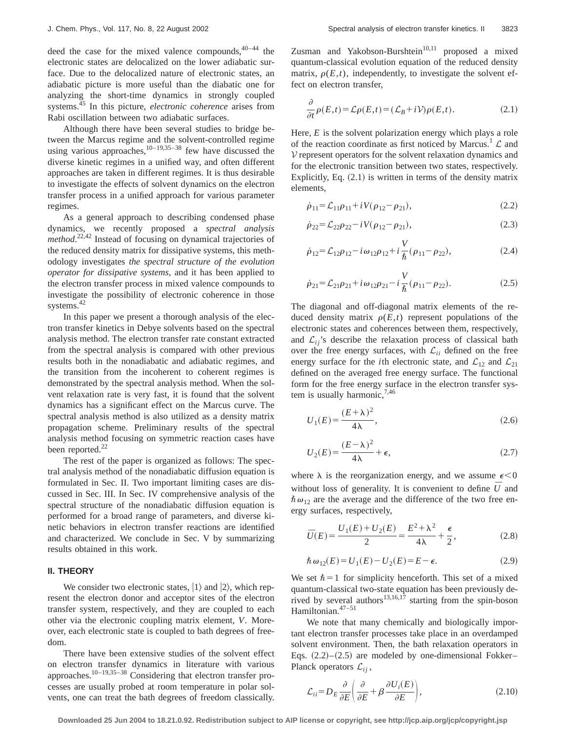deed the case for the mixed valence compounds,  $40-44$  the electronic states are delocalized on the lower adiabatic surface. Due to the delocalized nature of electronic states, an adiabatic picture is more useful than the diabatic one for analyzing the short-time dynamics in strongly coupled systems.45 In this picture, *electronic coherence* arises from Rabi oscillation between two adiabatic surfaces.

Although there have been several studies to bridge between the Marcus regime and the solvent-controlled regime using various approaches,  $10-19,35-38$  few have discussed the diverse kinetic regimes in a unified way, and often different approaches are taken in different regimes. It is thus desirable to investigate the effects of solvent dynamics on the electron transfer process in a unified approach for various parameter regimes.

As a general approach to describing condensed phase dynamics, we recently proposed a *spectral analysis method*. 22,42 Instead of focusing on dynamical trajectories of the reduced density matrix for dissipative systems, this methodology investigates *the spectral structure of the evolution operator for dissipative systems*, and it has been applied to the electron transfer process in mixed valence compounds to investigate the possibility of electronic coherence in those systems.<sup>42</sup>

In this paper we present a thorough analysis of the electron transfer kinetics in Debye solvents based on the spectral analysis method. The electron transfer rate constant extracted from the spectral analysis is compared with other previous results both in the nonadiabatic and adiabatic regimes, and the transition from the incoherent to coherent regimes is demonstrated by the spectral analysis method. When the solvent relaxation rate is very fast, it is found that the solvent dynamics has a significant effect on the Marcus curve. The spectral analysis method is also utilized as a density matrix propagation scheme. Preliminary results of the spectral analysis method focusing on symmetric reaction cases have been reported.<sup>22</sup>

The rest of the paper is organized as follows: The spectral analysis method of the nonadiabatic diffusion equation is formulated in Sec. II. Two important limiting cases are discussed in Sec. III. In Sec. IV comprehensive analysis of the spectral structure of the nonadiabatic diffusion equation is performed for a broad range of parameters, and diverse kinetic behaviors in electron transfer reactions are identified and characterized. We conclude in Sec. V by summarizing results obtained in this work.

# **II. THEORY**

We consider two electronic states,  $|1\rangle$  and  $|2\rangle$ , which represent the electron donor and acceptor sites of the electron transfer system, respectively, and they are coupled to each other via the electronic coupling matrix element, *V*. Moreover, each electronic state is coupled to bath degrees of freedom.

There have been extensive studies of the solvent effect on electron transfer dynamics in literature with various approaches.10–19,35–38 Considering that electron transfer processes are usually probed at room temperature in polar solvents, one can treat the bath degrees of freedom classically. Zusman and Yakobson-Burshtein<sup>10,11</sup> proposed a mixed quantum-classical evolution equation of the reduced density matrix,  $\rho(E,t)$ , independently, to investigate the solvent effect on electron transfer,

$$
\frac{\partial}{\partial t}\rho(E,t) = \mathcal{L}\rho(E,t) = (\mathcal{L}_B + i\mathcal{V})\rho(E,t). \tag{2.1}
$$

Here, *E* is the solvent polarization energy which plays a role of the reaction coordinate as first noticed by Marcus.<sup>1</sup>  $\mathcal L$  and  $V$  represent operators for the solvent relaxation dynamics and for the electronic transition between two states, respectively. Explicitly, Eq.  $(2.1)$  is written in terms of the density matrix elements,

$$
\dot{\rho}_{11} = \mathcal{L}_{11}\rho_{11} + iV(\rho_{12} - \rho_{21}),\tag{2.2}
$$

$$
\dot{\rho}_{22} = \mathcal{L}_{22}\rho_{22} - iV(\rho_{12} - \rho_{21}),\tag{2.3}
$$

$$
\dot{\rho}_{12} = \mathcal{L}_{12}\rho_{12} - i\omega_{12}\rho_{12} + i\frac{V}{\hbar}(\rho_{11} - \rho_{22}),
$$
\n(2.4)

$$
\dot{\rho}_{21} = \mathcal{L}_{21}\rho_{21} + i\omega_{12}\rho_{21} - i\frac{V}{\hbar}(\rho_{11} - \rho_{22}).
$$
\n(2.5)

The diagonal and off-diagonal matrix elements of the reduced density matrix  $\rho(E,t)$  represent populations of the electronic states and coherences between them, respectively, and  $\mathcal{L}_{ii}$ 's describe the relaxation process of classical bath over the free energy surfaces, with  $\mathcal{L}_{ii}$  defined on the free energy surface for the *i*th electronic state, and  $\mathcal{L}_{12}$  and  $\mathcal{L}_{21}$ defined on the averaged free energy surface. The functional form for the free energy surface in the electron transfer system is usually harmonic,  $7,46$ 

$$
U_1(E) = \frac{(E + \lambda)^2}{4\lambda},\tag{2.6}
$$

$$
U_2(E) = \frac{(E - \lambda)^2}{4\lambda} + \epsilon,\tag{2.7}
$$

where  $\lambda$  is the reorganization energy, and we assume  $\epsilon < 0$ without loss of generality. It is convenient to define  $\bar{U}$  and  $\hbar \omega_{12}$  are the average and the difference of the two free energy surfaces, respectively,

$$
\bar{U}(E) = \frac{U_1(E) + U_2(E)}{2} = \frac{E^2 + \lambda^2}{4\lambda} + \frac{\epsilon}{2},
$$
\n(2.8)

$$
\hbar \,\omega_{12}(E) = U_1(E) - U_2(E) = E - \epsilon. \tag{2.9}
$$

We set  $\hbar = 1$  for simplicity henceforth. This set of a mixed quantum-classical two-state equation has been previously derived by several authors<sup>13,16,17</sup> starting from the spin-boson Hamiltonian.47–51

We note that many chemically and biologically important electron transfer processes take place in an overdamped solvent environment. Then, the bath relaxation operators in Eqs.  $(2.2)$ – $(2.5)$  are modeled by one-dimensional Fokker– Planck operators  $\mathcal{L}_{ii}$ ,

$$
\mathcal{L}_{ii} = D_E \frac{\partial}{\partial E} \left( \frac{\partial}{\partial E} + \beta \frac{\partial U_i(E)}{\partial E} \right),\tag{2.10}
$$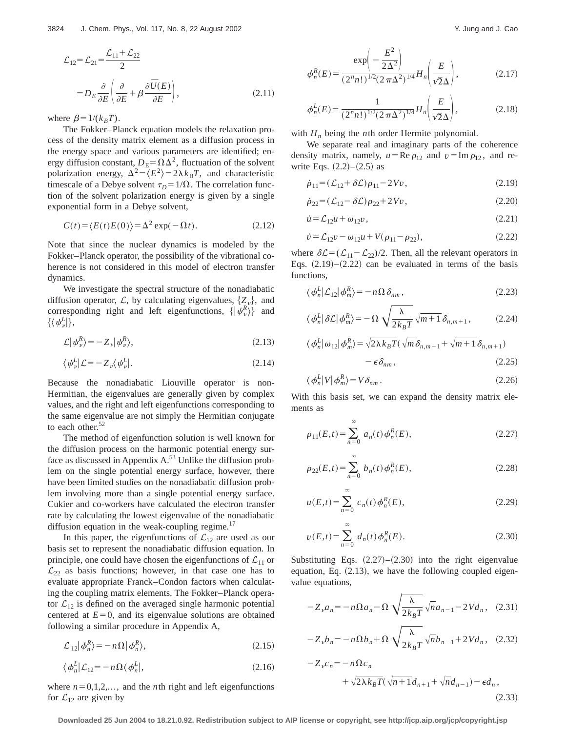$$
\mathcal{L}_{12} = \mathcal{L}_{21} = \frac{\mathcal{L}_{11} + \mathcal{L}_{22}}{2}
$$
  
= 
$$
D_E \frac{\partial}{\partial E} \left( \frac{\partial}{\partial E} + \beta \frac{\partial \overline{U}(E)}{\partial E} \right),
$$
 (2.11)

where  $\beta=1/(k_BT)$ .

The Fokker–Planck equation models the relaxation process of the density matrix element as a diffusion process in the energy space and various parameters are identified; energy diffusion constant,  $D_E = \Omega \Delta^2$ , fluctuation of the solvent polarization energy,  $\Delta^2 = \langle E^2 \rangle = 2\lambda k_B T$ , and characteristic timescale of a Debye solvent  $\tau_D = 1/\Omega$ . The correlation function of the solvent polarization energy is given by a single exponential form in a Debye solvent,

$$
C(t) = \langle E(t)E(0)\rangle = \Delta^2 \exp(-\Omega t). \tag{2.12}
$$

Note that since the nuclear dynamics is modeled by the Fokker–Planck operator, the possibility of the vibrational coherence is not considered in this model of electron transfer dynamics.

We investigate the spectral structure of the nonadiabatic diffusion operator,  $\mathcal{L}$ , by calculating eigenvalues,  $\{Z_{\nu}\}\$ , and corresponding right and left eigenfunctions,  $\{|\psi^R_{\nu}\rangle\}$  and  $\{\langle \psi_\nu^L|\},\$ 

$$
\mathcal{L}|\psi^R_{\nu}\rangle = -Z_{\nu}|\psi^R_{\nu}\rangle,\tag{2.13}
$$

$$
\langle \psi_{\nu}^{L} | \mathcal{L} = -Z_{\nu} \langle \psi_{\nu}^{L} |.
$$
\n(2.14)

Because the nonadiabatic Liouville operator is non-Hermitian, the eigenvalues are generally given by complex values, and the right and left eigenfunctions corresponding to the same eigenvalue are not simply the Hermitian conjugate to each other.<sup>52</sup>

The method of eigenfunction solution is well known for the diffusion process on the harmonic potential energy surface as discussed in Appendix  $A<sup>53</sup>$  Unlike the diffusion problem on the single potential energy surface, however, there have been limited studies on the nonadiabatic diffusion problem involving more than a single potential energy surface. Cukier and co-workers have calculated the electron transfer rate by calculating the lowest eigenvalue of the nonadiabatic diffusion equation in the weak-coupling regime.<sup>17</sup>

In this paper, the eigenfunctions of  $\mathcal{L}_{12}$  are used as our basis set to represent the nonadiabatic diffusion equation. In principle, one could have chosen the eigenfunctions of  $\mathcal{L}_{11}$  or  $\mathcal{L}_{22}$  as basis functions; however, in that case one has to evaluate appropriate Franck–Condon factors when calculating the coupling matrix elements. The Fokker–Planck operator  $\mathcal{L}_{12}$  is defined on the averaged single harmonic potential centered at  $E=0$ , and its eigenvalue solutions are obtained following a similar procedure in Appendix A,

$$
\mathcal{L}_{12} |\phi_n^R \rangle = -n\Omega |\phi_n^R \rangle, \tag{2.15}
$$

$$
\langle \phi_n^L | \mathcal{L}_{12} = -n \Omega \langle \phi_n^L |, \tag{2.16}
$$

where  $n=0,1,2,...$ , and the *n*th right and left eigenfunctions for  $\mathcal{L}_{12}$  are given by

$$
\phi_n^R(E) = \frac{\exp\left(-\frac{E^2}{2\Delta^2}\right)}{(2^n n!)^{1/2} (2\pi\Delta^2)^{1/4}} H_n\left(\frac{E}{\sqrt{2}\Delta}\right),\tag{2.17}
$$

$$
\phi_n^L(E) = \frac{1}{(2^n n!)^{1/2} (2 \pi \Delta^2)^{1/4}} H_n\left(\frac{E}{\sqrt{2} \Delta}\right),\tag{2.18}
$$

with  $H_n$  being the *n*th order Hermite polynomial.

We separate real and imaginary parts of the coherence density matrix, namely,  $u = \text{Re } \rho_{12}$  and  $v = \text{Im } \rho_{12}$ , and rewrite Eqs.  $(2.2)$ – $(2.5)$  as

$$
\dot{\rho}_{11} = (\mathcal{L}_{12} + \delta \mathcal{L}) \rho_{11} - 2Vv, \qquad (2.19)
$$

$$
\dot{\rho}_{22} = (\mathcal{L}_{12} - \delta \mathcal{L}) \rho_{22} + 2 V v, \qquad (2.20)
$$

$$
\dot{u} = \mathcal{L}_{12}u + \omega_{12}v,\tag{2.21}
$$

$$
\dot{\nu} = \mathcal{L}_{12}\nu - \omega_{12}\nu + V(\rho_{11} - \rho_{22}),\tag{2.22}
$$

where  $\delta\mathcal{L} = (\mathcal{L}_{11} - \mathcal{L}_{22})/2$ . Then, all the relevant operators in Eqs.  $(2.19)$ – $(2.22)$  can be evaluated in terms of the basis functions,

$$
\langle \phi_n^L | \mathcal{L}_{12} | \phi_m^R \rangle = -n \Omega \, \delta_{nm} \,, \tag{2.23}
$$

$$
\langle \phi_n^L | \delta \mathcal{L} | \phi_m^R \rangle = -\Omega \sqrt{\frac{\lambda}{2k_B T}} \sqrt{m+1} \delta_{n,m+1}, \qquad (2.24)
$$

$$
\langle \phi_n^L | \omega_{12} | \phi_m^R \rangle = \sqrt{2\lambda k_B T} (\sqrt{m} \, \delta_{n,m-1} + \sqrt{m+1} \, \delta_{n,m+1})
$$

$$
- \epsilon \delta_{nm}, \qquad (2.25)
$$

$$
\langle \phi_n^L | V | \phi_m^R \rangle = V \delta_{nm} \,. \tag{2.26}
$$

With this basis set, we can expand the density matrix elements as

$$
\rho_{11}(E,t) = \sum_{n=0}^{\infty} a_n(t) \phi_n^R(E), \qquad (2.27)
$$

$$
\rho_{22}(E,t) = \sum_{n=0}^{\infty} b_n(t) \phi_n^R(E),
$$
\n(2.28)

$$
u(E,t) = \sum_{n=0}^{\infty} c_n(t) \phi_n^R(E),
$$
 (2.29)

$$
v(E,t) = \sum_{n=0}^{\infty} d_n(t) \phi_n^R(E).
$$
 (2.30)

Substituting Eqs.  $(2.27)$ – $(2.30)$  into the right eigenvalue equation, Eq.  $(2.13)$ , we have the following coupled eigenvalue equations,

$$
-Z_{\nu}a_n = -n\Omega a_n - \Omega \sqrt{\frac{\lambda}{2k_B T}} \sqrt{n} a_{n-1} - 2V d_n, \quad (2.31)
$$

$$
-Z_{\nu}b_n = -n\Omega b_n + \Omega \sqrt{\frac{\lambda}{2k_BT}} \sqrt{n}b_{n-1} + 2Vd_n, \quad (2.32)
$$

$$
-Z_{\nu}c_n = -n\Omega c_n
$$
  
+  $\sqrt{2\lambda k_B T}(\sqrt{n+1}d_{n+1} + \sqrt{n}d_{n-1}) - \epsilon d_n$ , (2.33)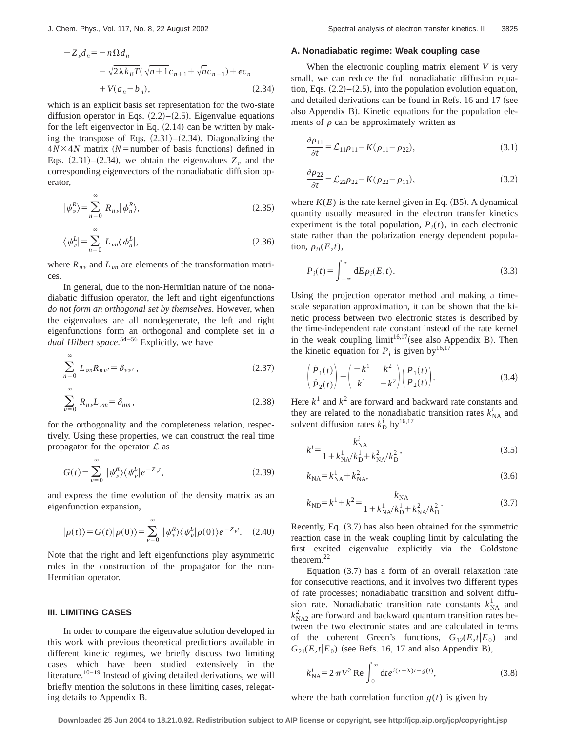$$
-Z_{\nu}d_{n} = -n\Omega d_{n}
$$
  

$$
-\sqrt{2\lambda k_{B}T}(\sqrt{n+1}c_{n+1} + \sqrt{n}c_{n-1}) + \epsilon c_{n}
$$
  

$$
+ V(a_{n} - b_{n}),
$$
 (2.34)

which is an explicit basis set representation for the two-state diffusion operator in Eqs.  $(2.2)$ – $(2.5)$ . Eigenvalue equations for the left eigenvector in Eq.  $(2.14)$  can be written by making the transpose of Eqs.  $(2.31)$ – $(2.34)$ . Diagonalizing the  $4N \times 4N$  matrix (*N*=number of basis functions) defined in Eqs.  $(2.31)$ – $(2.34)$ , we obtain the eigenvalues  $Z<sub>v</sub>$  and the corresponding eigenvectors of the nonadiabatic diffusion operator,

$$
|\psi_{\nu}^{R}\rangle = \sum_{n=0}^{\infty} R_{n\nu} |\phi_{n}^{R}\rangle, \qquad (2.35)
$$

$$
\langle \psi_{\nu}^{L} \vert = \sum_{n=0}^{\infty} L_{\nu n} \langle \phi_{n}^{L} \vert, \qquad (2.36)
$$

where  $R_{nv}$  and  $L_{vn}$  are elements of the transformation matrices.

In general, due to the non-Hermitian nature of the nonadiabatic diffusion operator, the left and right eigenfunctions *do not form an orthogonal set by themselves*. However, when the eigenvalues are all nondegenerate, the left and right eigenfunctions form an orthogonal and complete set in *a dual Hilbert space*. 54–56 Explicitly, we have

$$
\sum_{n=0}^{\infty} L_{\nu n} R_{n\nu'} = \delta_{\nu\nu'} , \qquad (2.37)
$$

$$
\sum_{\nu=0}^{\infty} R_{n\nu} L_{\nu m} = \delta_{nm}, \qquad (2.38)
$$

for the orthogonality and the completeness relation, respectively. Using these properties, we can construct the real time propagator for the operator  $\mathcal L$  as

$$
G(t) = \sum_{\nu=0}^{\infty} |\psi_{\nu}^{R}\rangle \langle \psi_{\nu}^{L}| e^{-Z_{\nu}t}, \qquad (2.39)
$$

and express the time evolution of the density matrix as an eigenfunction expansion,

$$
|\rho(t)\rangle = G(t)|\rho(0)\rangle = \sum_{\nu=0}^{\infty} |\psi_{\nu}^{R}\rangle \langle \psi_{\nu}^{L}|\rho(0)\rangle e^{-Z_{\nu}t}.
$$
 (2.40)

Note that the right and left eigenfunctions play asymmetric roles in the construction of the propagator for the non-Hermitian operator.

## **III. LIMITING CASES**

In order to compare the eigenvalue solution developed in this work with previous theoretical predictions available in different kinetic regimes, we briefly discuss two limiting cases which have been studied extensively in the literature.<sup>10–19</sup> Instead of giving detailed derivations, we will briefly mention the solutions in these limiting cases, relegating details to Appendix B.

## **A. Nonadiabatic regime: Weak coupling case**

When the electronic coupling matrix element *V* is very small, we can reduce the full nonadiabatic diffusion equation, Eqs.  $(2.2)$ – $(2.5)$ , into the population evolution equation, and detailed derivations can be found in Refs. 16 and 17 (see also Appendix B). Kinetic equations for the population elements of  $\rho$  can be approximately written as

$$
\frac{\partial \rho_{11}}{\partial t} = \mathcal{L}_{11} \rho_{11} - K(\rho_{11} - \rho_{22}),\tag{3.1}
$$

$$
\frac{\partial \rho_{22}}{\partial t} = \mathcal{L}_{22} \rho_{22} - K(\rho_{22} - \rho_{11}),\tag{3.2}
$$

where  $K(E)$  is the rate kernel given in Eq.  $(B5)$ . A dynamical quantity usually measured in the electron transfer kinetics experiment is the total population,  $P_i(t)$ , in each electronic state rather than the polarization energy dependent population,  $\rho_{ii}(E,t)$ ,

$$
P_i(t) = \int_{-\infty}^{\infty} dE \rho_i(E, t). \tag{3.3}
$$

Using the projection operator method and making a timescale separation approximation, it can be shown that the kinetic process between two electronic states is described by the time-independent rate constant instead of the rate kernel in the weak coupling limit<sup>16,17</sup>(see also Appendix B). Then the kinetic equation for  $P_i$  is given by<sup>16,17</sup>

$$
\begin{pmatrix} \dot{P}_1(t) \\ \dot{P}_2(t) \end{pmatrix} = \begin{pmatrix} -k^1 & k^2 \\ k^1 & -k^2 \end{pmatrix} \begin{pmatrix} P_1(t) \\ P_2(t) \end{pmatrix}.
$$
 (3.4)

Here  $k^1$  and  $k^2$  are forward and backward rate constants and they are related to the nonadiabatic transition rates  $k_{NA}^i$  and solvent diffusion rates  $k_D^i$  by<sup>16,17</sup>

$$
k^{i} = \frac{k_{\text{NA}}^{i}}{1 + k_{\text{NA}}^{1} / k_{\text{D}}^{1} + k_{\text{NA}}^{2} / k_{\text{D}}^{2}},
$$
\n(3.5)

$$
k_{\rm NA} = k_{\rm NA}^1 + k_{\rm NA}^2,\tag{3.6}
$$

$$
k_{\rm ND} = k^1 + k^2 = \frac{k_{\rm NA}}{1 + k_{\rm NA}^1 / k_{\rm D}^1 + k_{\rm NA}^2 / k_{\rm D}^2}.
$$
 (3.7)

Recently, Eq.  $(3.7)$  has also been obtained for the symmetric reaction case in the weak coupling limit by calculating the first excited eigenvalue explicitly via the Goldstone theorem.22

Equation  $(3.7)$  has a form of an overall relaxation rate for consecutive reactions, and it involves two different types of rate processes; nonadiabatic transition and solvent diffusion rate. Nonadiabatic transition rate constants  $k_{NA}^1$  and  $k_{\text{NA2}}^2$  are forward and backward quantum transition rates between the two electronic states and are calculated in terms of the coherent Green's functions,  $G_{12}(E,t|E_0)$  and  $G_{21}(E,t|E_0)$  (see Refs. 16, 17 and also Appendix B),

$$
k_{\text{NA}}^i = 2\,\pi V^2 \,\text{Re}\,\int_0^\infty \mathrm{d}t e^{i(\epsilon+\lambda)t - g(t)},\tag{3.8}
$$

where the bath correlation function  $g(t)$  is given by

**Downloaded 25 Jun 2004 to 18.21.0.92. Redistribution subject to AIP license or copyright, see http://jcp.aip.org/jcp/copyright.jsp**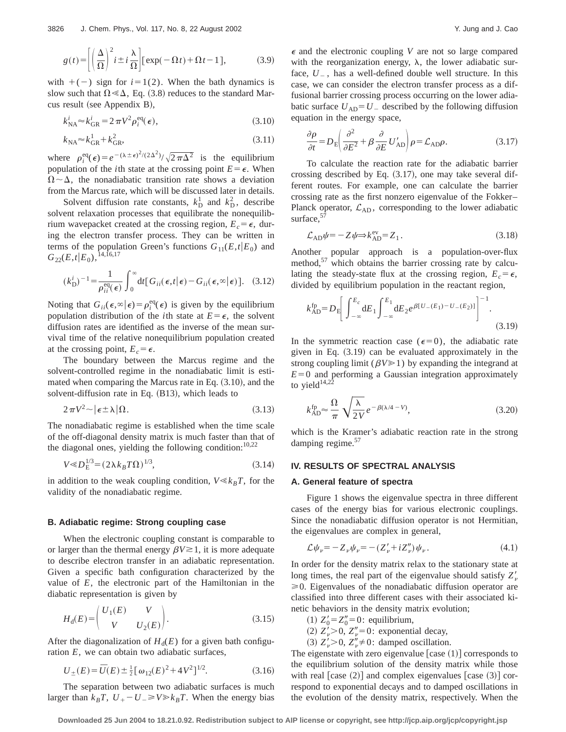$$
g(t) = \left[ \left( \frac{\Delta}{\Omega} \right)^2 i \pm i \frac{\lambda}{\Omega} \right] \left[ \exp(-\Omega t) + \Omega t - 1 \right],\tag{3.9}
$$

with  $+(-)$  sign for  $i=1(2)$ . When the bath dynamics is slow such that  $\Omega \ll \Delta$ , Eq. (3.8) reduces to the standard Marcus result (see Appendix B),

$$
k_{\text{NA}}^i \approx k_{\text{GR}}^i = 2\,\pi V^2 \rho_i^{\text{eq}}(\epsilon),\tag{3.10}
$$

$$
k_{\text{NA}} \approx k_{\text{GR}}^1 + k_{\text{GR}}^2,\tag{3.11}
$$

where  $\rho_i^{eq}(\epsilon) = e^{-(\lambda \pm \epsilon)^2/(2\Delta^2)}/\sqrt{2\pi\Delta^2}$  is the equilibrium population of the *i*th state at the crossing point  $E = \epsilon$ . When  $\Omega \sim \Delta$ , the nonadiabatic transition rate shows a deviation from the Marcus rate, which will be discussed later in details.

Solvent diffusion rate constants,  $k_{\text{D}}^1$  and  $k_{\text{D}}^2$ , describe solvent relaxation processes that equilibrate the nonequilibrium wavepacket created at the crossing region,  $E_c = \epsilon$ , during the electron transfer process. They can be written in terms of the population Green's functions  $G_{11}(E,t|E_0)$  and  $G_{22}(E,t|E_0)$ , <sup>14,16,17</sup>

$$
(k_{\rm D}^i)^{-1} = \frac{1}{\rho_{ii}^{\rm eq}(\epsilon)} \int_0^\infty dt \big[ G_{ii}(\epsilon, t | \epsilon) - G_{ii}(\epsilon, \infty | \epsilon) \big]. \quad (3.12)
$$

Noting that  $G_{ii}(\epsilon, \infty|\epsilon) = \rho_i^{eq}(\epsilon)$  is given by the equilibrium population distribution of the *i*th state at  $E = \epsilon$ , the solvent diffusion rates are identified as the inverse of the mean survival time of the relative nonequilibrium population created at the crossing point,  $E_c = \epsilon$ .

The boundary between the Marcus regime and the solvent-controlled regime in the nonadiabatic limit is estimated when comparing the Marcus rate in Eq.  $(3.10)$ , and the solvent-diffusion rate in Eq.  $(B13)$ , which leads to

$$
2\pi V^2 \sim \left| \epsilon \pm \lambda \right| \Omega. \tag{3.13}
$$

The nonadiabatic regime is established when the time scale of the off-diagonal density matrix is much faster than that of the diagonal ones, yielding the following condition:  $10,22$ 

$$
V \ll D_{\rm E}^{1/3} = (2\lambda k_B T \Omega)^{1/3},\tag{3.14}
$$

in addition to the weak coupling condition,  $V \ll k_B T$ , for the validity of the nonadiabatic regime.

# **B. Adiabatic regime: Strong coupling case**

When the electronic coupling constant is comparable to or larger than the thermal energy  $\beta$ *V* $\geq$  1, it is more adequate to describe electron transfer in an adiabatic representation. Given a specific bath configuration characterized by the value of *E*, the electronic part of the Hamiltonian in the diabatic representation is given by

$$
H_d(E) = \begin{pmatrix} U_1(E) & V \\ V & U_2(E) \end{pmatrix}.
$$
 (3.15)

After the diagonalization of  $H_d(E)$  for a given bath configuration  $E$ , we can obtain two adiabatic surfaces,

$$
U_{\pm}(E) = \bar{U}(E) \pm \frac{1}{2} [\omega_{12}(E)^{2} + 4V^{2}]^{1/2}.
$$
 (3.16)

The separation between two adiabatic surfaces is much larger than  $k_B T$ ,  $U_+ - U_- \ge V \ge k_B T$ . When the energy bias  $\epsilon$  and the electronic coupling *V* are not so large compared with the reorganization energy,  $\lambda$ , the lower adiabatic surface,  $U_{-}$ , has a well-defined double well structure. In this case, we can consider the electron transfer process as a diffusional barrier crossing process occurring on the lower adiabatic surface  $U_{AD} = U_{\text{}}$  described by the following diffusion equation in the energy space,

$$
\frac{\partial \rho}{\partial t} = D_{\rm E} \left( \frac{\partial^2}{\partial E^2} + \beta \frac{\partial}{\partial E} U'_{\rm AD} \right) \rho = \mathcal{L}_{\rm AD} \rho. \tag{3.17}
$$

To calculate the reaction rate for the adiabatic barrier crossing described by Eq.  $(3.17)$ , one may take several different routes. For example, one can calculate the barrier crossing rate as the first nonzero eigenvalue of the Fokker– Planck operator,  $\mathcal{L}_{AD}$ , corresponding to the lower adiabatic surface,<sup>57</sup>

$$
\mathcal{L}_{AD}\psi = -Z\psi \Rightarrow k_{AD}^{\text{ev}} = Z_1. \tag{3.18}
$$

Another popular approach is a population-over-flux method, $57$  which obtains the barrier crossing rate by calculating the steady-state flux at the crossing region,  $E_c = \epsilon$ , divided by equilibrium population in the reactant region,

$$
k_{AD}^{\text{fp}} = D_{E} \left[ \int_{-\infty}^{E_{c}} dE_{1} \int_{-\infty}^{E_{1}} dE_{2} e^{\beta [U_{-}(E_{1}) - U_{-}(E_{2})]} \right]^{-1}.
$$
\n(3.19)

In the symmetric reaction case ( $\epsilon=0$ ), the adiabatic rate given in Eq.  $(3.19)$  can be evaluated approximately in the strong coupling limit ( $\beta V \ge 1$ ) by expanding the integrand at  $E=0$  and performing a Gaussian integration approximately to yield<sup>14,22</sup>

$$
k_{AD}^{\text{fp}} \approx \frac{\Omega}{\pi} \sqrt{\frac{\lambda}{2V}} e^{-\beta(\lambda/4 - V)}, \tag{3.20}
$$

which is the Kramer's adiabatic reaction rate in the strong damping regime.<sup>57</sup>

# **IV. RESULTS OF SPECTRAL ANALYSIS**

#### **A. General feature of spectra**

Figure 1 shows the eigenvalue spectra in three different cases of the energy bias for various electronic couplings. Since the nonadiabatic diffusion operator is not Hermitian, the eigenvalues are complex in general,

$$
\mathcal{L}\psi_{\nu} = -Z_{\nu}\psi_{\nu} = -(Z_{\nu}^{\'} + iZ_{\nu}^{\prime\prime})\psi_{\nu}.
$$
\n(4.1)

In order for the density matrix relax to the stationary state at long times, the real part of the eigenvalue should satisfy  $Z'_{\nu}$  $\geq 0$ . Eigenvalues of the nonadiabatic diffusion operator are classified into three different cases with their associated kinetic behaviors in the density matrix evolution;

(1)  $Z'_0 = Z''_0 = 0$ : equilibrium,

 $(2)$   $Z'_\nu > 0$ ,  $Z''_\nu = 0$ : exponential decay,

(3)  $Z'_\nu > 0$ ,  $Z''_\nu \neq 0$ : damped oscillation.

The eigenstate with zero eigenvalue  $[case (1)]$  corresponds to the equilibrium solution of the density matrix while those with real  $\lceil \text{case} (2) \rceil$  and complex eigenvalues  $\lceil \text{case} (3) \rceil$  correspond to exponential decays and to damped oscillations in the evolution of the density matrix, respectively. When the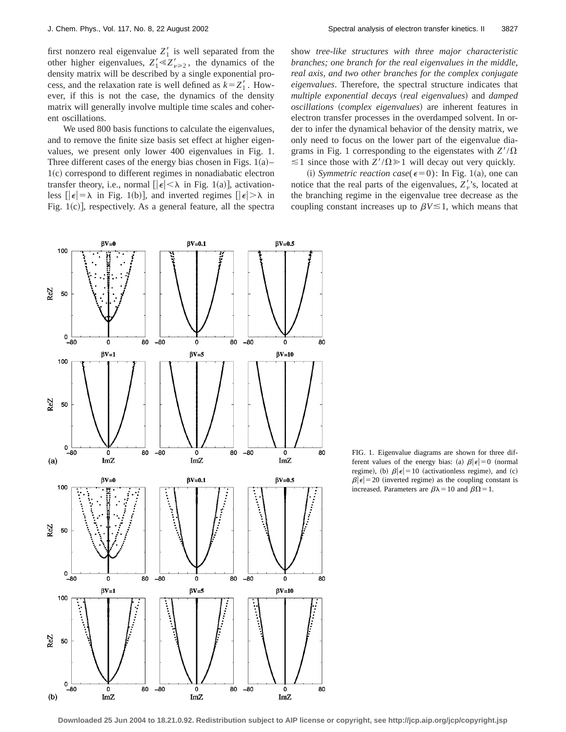first nonzero real eigenvalue  $Z'_1$  is well separated from the other higher eigenvalues,  $Z'_1 \ll Z'_{\nu \geq 2}$ , the dynamics of the density matrix will be described by a single exponential process, and the relaxation rate is well defined as  $k = Z'_1$ . However, if this is not the case, the dynamics of the density matrix will generally involve multiple time scales and coherent oscillations.

We used 800 basis functions to calculate the eigenvalues, and to remove the finite size basis set effect at higher eigenvalues, we present only lower 400 eigenvalues in Fig. 1. Three different cases of the energy bias chosen in Figs.  $1(a)$ – 1(c) correspond to different regimes in nonadiabatic electron transfer theory, i.e., normal  $\lceil |\epsilon| < \lambda$  in Fig. 1(a)], activationless  $\left[|\epsilon|=\lambda \right]$  in Fig. 1(b), and inverted regimes  $\left[|\epsilon|>\lambda \right]$  in Fig.  $1(c)$ , respectively. As a general feature, all the spectra show *tree-like structures with three major characteristic branches; one branch for the real eigenvalues in the middle, real axis, and two other branches for the complex conjugate eigenvalues*. Therefore, the spectral structure indicates that  $multiple exponential decays (real eigenvalues)$  and *damped*  $oscillations (complex eigenvalues)$  are inherent features in electron transfer processes in the overdamped solvent. In order to infer the dynamical behavior of the density matrix, we only need to focus on the lower part of the eigenvalue diagrams in Fig. 1 corresponding to the eigenstates with  $Z'/\Omega$  $\leq$ 1 since those with *Z'*/ $\Omega \geq 1$  will decay out very quickly.

(i) *Symmetric reaction case*( $\epsilon=0$ ): In Fig. 1(a), one can notice that the real parts of the eigenvalues,  $Z'_\nu$ 's, located at the branching regime in the eigenvalue tree decrease as the coupling constant increases up to  $\beta$ *V* $\leq$ 1, which means that



FIG. 1. Eigenvalue diagrams are shown for three different values of the energy bias: (a)  $\beta |\epsilon|=0$  (normal regime), (b)  $\beta |\epsilon| = 10$  (activationless regime), and (c)  $\beta |\epsilon|$ =20 (inverted regime) as the coupling constant is increased. Parameters are  $\beta \lambda = 10$  and  $\beta \Omega = 1$ .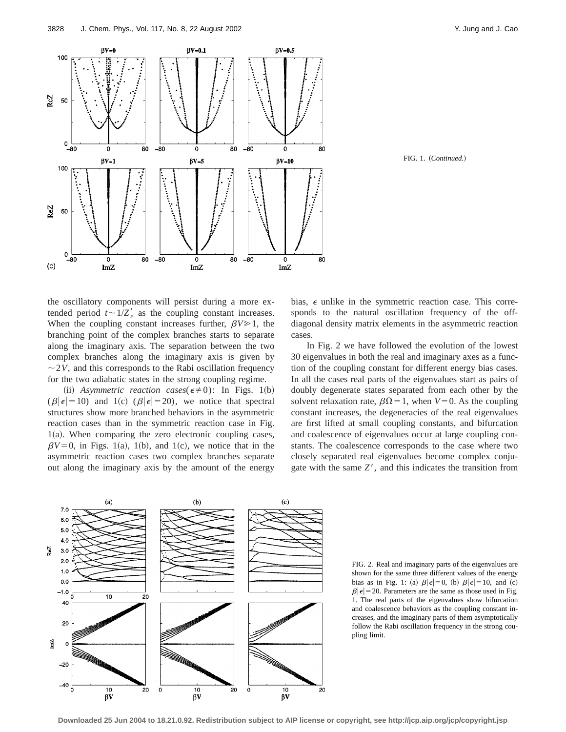



the oscillatory components will persist during a more extended period  $t \sim 1/Z_v'$  as the coupling constant increases. When the coupling constant increases further,  $\beta V \ge 1$ , the branching point of the complex branches starts to separate along the imaginary axis. The separation between the two complex branches along the imaginary axis is given by  $\sim$  2*V*, and this corresponds to the Rabi oscillation frequency for the two adiabatic states in the strong coupling regime.

(ii) *Asymmetric reaction cases*( $\epsilon \neq 0$ ): In Figs. 1(b)  $(\beta|\epsilon|=10)$  and  $(1c)$   $(\beta|\epsilon|=20)$ , we notice that spectral structures show more branched behaviors in the asymmetric reaction cases than in the symmetric reaction case in Fig.  $1(a)$ . When comparing the zero electronic coupling cases,  $\beta$ *V*=0, in Figs. 1(a), 1(b), and 1(c), we notice that in the asymmetric reaction cases two complex branches separate out along the imaginary axis by the amount of the energy bias,  $\epsilon$  unlike in the symmetric reaction case. This corresponds to the natural oscillation frequency of the offdiagonal density matrix elements in the asymmetric reaction cases.

In Fig. 2 we have followed the evolution of the lowest 30 eigenvalues in both the real and imaginary axes as a function of the coupling constant for different energy bias cases. In all the cases real parts of the eigenvalues start as pairs of doubly degenerate states separated from each other by the solvent relaxation rate,  $\beta \Omega = 1$ , when *V*=0. As the coupling constant increases, the degeneracies of the real eigenvalues are first lifted at small coupling constants, and bifurcation and coalescence of eigenvalues occur at large coupling constants. The coalescence corresponds to the case where two closely separated real eigenvalues become complex conjugate with the same  $Z'$ , and this indicates the transition from



FIG. 2. Real and imaginary parts of the eigenvalues are shown for the same three different values of the energy bias as in Fig. 1: (a)  $\beta |\epsilon|=0$ , (b)  $\beta |\epsilon|=10$ , and (c)  $\beta |\epsilon|$  = 20. Parameters are the same as those used in Fig. 1. The real parts of the eigenvalues show bifurcation and coalescence behaviors as the coupling constant increases, and the imaginary parts of them asymptotically follow the Rabi oscillation frequency in the strong coupling limit.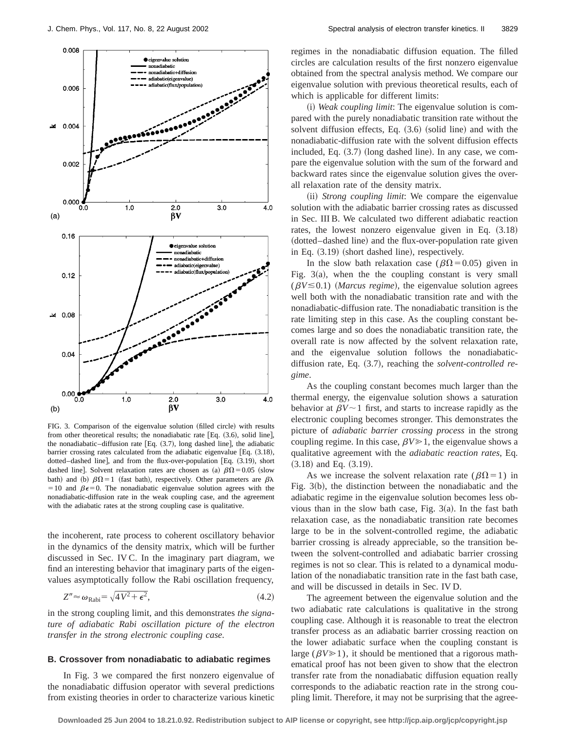

FIG. 3. Comparison of the eigenvalue solution (filled circle) with results from other theoretical results; the nonadiabatic rate  $[Eq. (3.6),$  solid line, the nonadiabatic–diffusion rate  $[Eq. (3.7),$  long dashed line, the adiabatic barrier crossing rates calculated from the adiabatic eigenvalue [Eq.  $(3.18)$ , dotted-dashed line], and from the flux-over-population [Eq. (3.19), short dashed line]. Solvent relaxation rates are chosen as (a)  $\beta \Omega = 0.05$  (slow bath) and (b)  $\beta \Omega = 1$  (fast bath), respectively. Other parameters are  $\beta \lambda$ =10 and  $\beta \epsilon$ =0. The nonadiabatic eigenvalue solution agrees with the nonadiabatic-diffusion rate in the weak coupling case, and the agreement with the adiabatic rates at the strong coupling case is qualitative.

the incoherent, rate process to coherent oscillatory behavior in the dynamics of the density matrix, which will be further discussed in Sec. IV C. In the imaginary part diagram, we find an interesting behavior that imaginary parts of the eigenvalues asymptotically follow the Rabi oscillation frequency,

$$
Z'' \approx \omega_{\text{Rabi}} = \sqrt{4V^2 + \epsilon^2},\tag{4.2}
$$

in the strong coupling limit, and this demonstrates *the signature of adiabatic Rabi oscillation picture of the electron transfer in the strong electronic coupling case*.

#### **B. Crossover from nonadiabatic to adiabatic regimes**

In Fig. 3 we compared the first nonzero eigenvalue of the nonadiabatic diffusion operator with several predictions from existing theories in order to characterize various kinetic regimes in the nonadiabatic diffusion equation. The filled circles are calculation results of the first nonzero eigenvalue obtained from the spectral analysis method. We compare our eigenvalue solution with previous theoretical results, each of which is applicable for different limits:

(i) *Weak coupling limit*: The eigenvalue solution is compared with the purely nonadiabatic transition rate without the solvent diffusion effects, Eq.  $(3.6)$  (solid line) and with the nonadiabatic-diffusion rate with the solvent diffusion effects included, Eq.  $(3.7)$  (long dashed line). In any case, we compare the eigenvalue solution with the sum of the forward and backward rates since the eigenvalue solution gives the overall relaxation rate of the density matrix.

(ii) *Strong coupling limit*: We compare the eigenvalue solution with the adiabatic barrier crossing rates as discussed in Sec. III B. We calculated two different adiabatic reaction rates, the lowest nonzero eigenvalue given in Eq.  $(3.18)$ (dotted–dashed line) and the flux-over-population rate given in Eq.  $(3.19)$  (short dashed line), respectively.

In the slow bath relaxation case ( $\beta\Omega$ =0.05) given in Fig.  $3(a)$ , when the the coupling constant is very small  $(\beta V \le 0.1)$  (*Marcus regime*), the eigenvalue solution agrees well both with the nonadiabatic transition rate and with the nonadiabatic-diffusion rate. The nonadiabatic transition is the rate limiting step in this case. As the coupling constant becomes large and so does the nonadiabatic transition rate, the overall rate is now affected by the solvent relaxation rate, and the eigenvalue solution follows the nonadiabaticdiffusion rate, Eq.  $(3.7)$ , reaching the *solvent-controlled regime*.

As the coupling constant becomes much larger than the thermal energy, the eigenvalue solution shows a saturation behavior at  $\beta V \sim 1$  first, and starts to increase rapidly as the electronic coupling becomes stronger. This demonstrates the picture of *adiabatic barrier crossing process* in the strong coupling regime. In this case,  $\beta V \ge 1$ , the eigenvalue shows a qualitative agreement with the *adiabatic reaction rates*, Eq.  $(3.18)$  and Eq.  $(3.19)$ .

As we increase the solvent relaxation rate ( $\beta\Omega=1$ ) in Fig.  $3(b)$ , the distinction between the nonadiabatic and the adiabatic regime in the eigenvalue solution becomes less obvious than in the slow bath case, Fig.  $3(a)$ . In the fast bath relaxation case, as the nonadiabatic transition rate becomes large to be in the solvent-controlled regime, the adiabatic barrier crossing is already appreciable, so the transition between the solvent-controlled and adiabatic barrier crossing regimes is not so clear. This is related to a dynamical modulation of the nonadiabatic transition rate in the fast bath case, and will be discussed in details in Sec. IV D.

The agreement between the eigenvalue solution and the two adiabatic rate calculations is qualitative in the strong coupling case. Although it is reasonable to treat the electron transfer process as an adiabatic barrier crossing reaction on the lower adiabatic surface when the coupling constant is large ( $\beta V \ge 1$ ), it should be mentioned that a rigorous mathematical proof has not been given to show that the electron transfer rate from the nonadiabatic diffusion equation really corresponds to the adiabatic reaction rate in the strong coupling limit. Therefore, it may not be surprising that the agree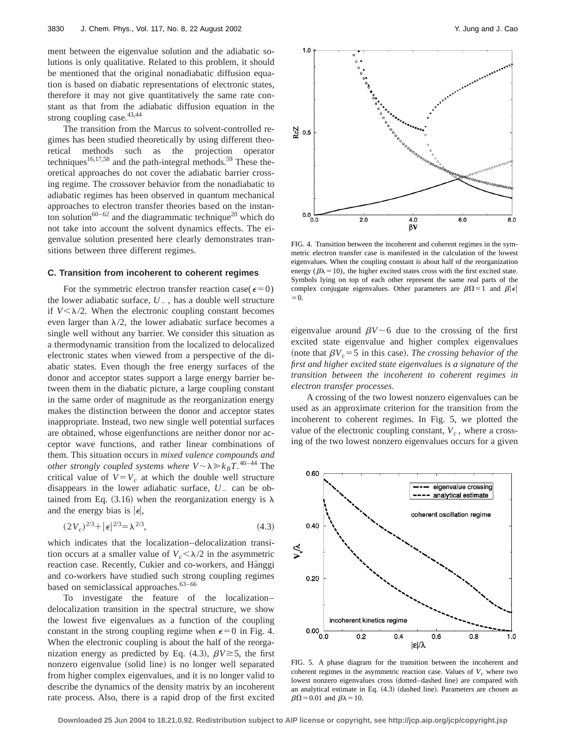ment between the eigenvalue solution and the adiabatic solutions is only qualitative. Related to this problem, it should be mentioned that the original nonadiabatic diffusion equation is based on diabatic representations of electronic states, therefore it may not give quantitatively the same rate constant as that from the adiabatic diffusion equation in the strong coupling case.<sup>43,44</sup>

The transition from the Marcus to solvent-controlled regimes has been studied theoretically by using different theoretical methods such as the projection operator techniques<sup>16,17,58</sup> and the path-integral methods.<sup>59</sup> These theoretical approaches do not cover the adiabatic barrier crossing regime. The crossover behavior from the nonadiabatic to adiabatic regimes has been observed in quantum mechanical approaches to electron transfer theories based on the instanton solution<sup>60–62</sup> and the diagrammatic technique<sup>20</sup> which do not take into account the solvent dynamics effects. The eigenvalue solution presented here clearly demonstrates transitions between three different regimes.

#### **C. Transition from incoherent to coherent regimes**

For the symmetric electron transfer reaction case( $\epsilon=0$ ) the lower adiabatic surface,  $U_{-}$ , has a double well structure if  $V<\lambda/2$ . When the electronic coupling constant becomes even larger than  $\lambda/2$ , the lower adiabatic surface becomes a single well without any barrier. We consider this situation as a thermodynamic transition from the localized to delocalized electronic states when viewed from a perspective of the diabatic states. Even though the free energy surfaces of the donor and acceptor states support a large energy barrier between them in the diabatic picture, a large coupling constant in the same order of magnitude as the reorganization energy makes the distinction between the donor and acceptor states inappropriate. Instead, two new single well potential surfaces are obtained, whose eigenfunctions are neither donor nor acceptor wave functions, and rather linear combinations of them. This situation occurs in *mixed valence compounds and other strongly coupled systems where*  $V \sim \lambda \gg k_B T$ .<sup>40–44</sup> The critical value of  $V = V_c$  at which the double well structure disappears in the lower adiabatic surface,  $U_{-}$  can be obtained from Eq.  $(3.16)$  when the reorganization energy is  $\lambda$ and the energy bias is  $|\epsilon|$ ,

$$
(2V_c)^{2/3} + |\epsilon|^{2/3} = \lambda^{2/3},\tag{4.3}
$$

which indicates that the localization–delocalization transition occurs at a smaller value of  $V_c < \lambda/2$  in the asymmetric reaction case. Recently, Cukier and co-workers, and Hänggi and co-workers have studied such strong coupling regimes based on semiclassical approaches. $63-66$ 

To investigate the feature of the localization– delocalization transition in the spectral structure, we show the lowest five eigenvalues as a function of the coupling constant in the strong coupling regime when  $\epsilon=0$  in Fig. 4. When the electronic coupling is about the half of the reorganization energy as predicted by Eq.  $(4.3)$ ,  $\beta V \gtrsim 5$ , the first nonzero eigenvalue (solid line) is no longer well separated from higher complex eigenvalues, and it is no longer valid to describe the dynamics of the density matrix by an incoherent rate process. Also, there is a rapid drop of the first excited



FIG. 4. Transition between the incoherent and coherent regimes in the symmetric electron transfer case is manifested in the calculation of the lowest eigenvalues. When the coupling constant is about half of the reorganization energy ( $\beta \lambda = 10$ ), the higher excited states cross with the first excited state. Symbols lying on top of each other represent the same real parts of the complex conjugate eigenvalues. Other parameters are  $\beta\Omega = 1$  and  $\beta|\epsilon|$  $\overline{0}$ 

eigenvalue around  $\beta V \sim 6$  due to the crossing of the first excited state eigenvalue and higher complex eigenvalues (note that  $\beta V_c = 5$  in this case). *The crossing behavior of the first and higher excited state eigenvalues is a signature of the transition between the incoherent to coherent regimes in electron transfer processes*.

A crossing of the two lowest nonzero eigenvalues can be used as an approximate criterion for the transition from the incoherent to coherent regimes. In Fig. 5, we plotted the value of the electronic coupling constant,  $V_c$ , where a crossing of the two lowest nonzero eigenvalues occurs for a given



FIG. 5. A phase diagram for the transition between the incoherent and coherent regimes in the asymmetric reaction case. Values of  $V_c$  where two lowest nonzero eigenvalues cross (dotted–dashed line) are compared with an analytical estimate in Eq.  $(4.3)$   $(dashed line)$ . Parameters are chosen as  $\beta\Omega$  = 0.01 and  $\beta\lambda$  = 10.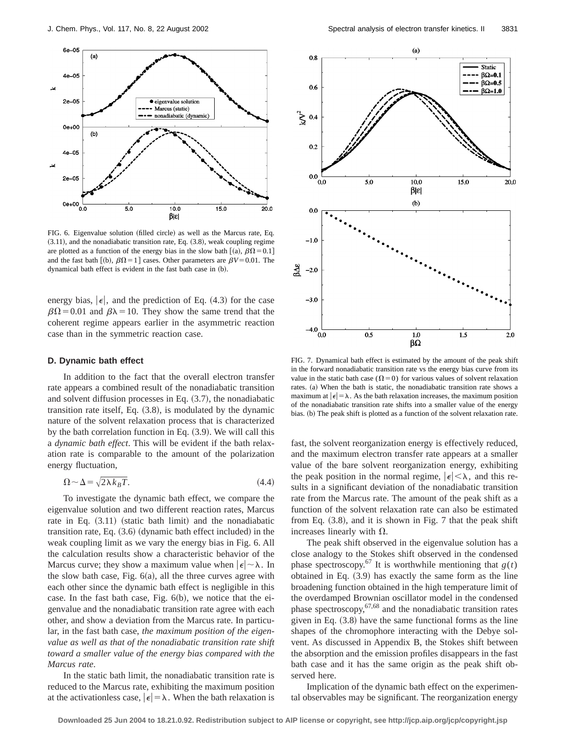

FIG. 6. Eigenvalue solution (filled circle) as well as the Marcus rate, Eq.  $(3.11)$ , and the nonadiabatic transition rate, Eq.  $(3.8)$ , weak coupling regime are plotted as a function of the energy bias in the slow bath  $[(a), \beta\Omega = 0.1]$ and the fast bath  $[(b), \beta\Omega = 1]$  cases. Other parameters are  $\beta V = 0.01$ . The dynamical bath effect is evident in the fast bath case in (b).

energy bias,  $|\epsilon|$ , and the prediction of Eq. (4.3) for the case  $\beta \Omega$  = 0.01 and  $\beta \lambda$  = 10. They show the same trend that the coherent regime appears earlier in the asymmetric reaction case than in the symmetric reaction case.

#### **D. Dynamic bath effect**

In addition to the fact that the overall electron transfer rate appears a combined result of the nonadiabatic transition and solvent diffusion processes in Eq.  $(3.7)$ , the nonadiabatic transition rate itself, Eq.  $(3.8)$ , is modulated by the dynamic nature of the solvent relaxation process that is characterized by the bath correlation function in Eq.  $(3.9)$ . We will call this a *dynamic bath effect*. This will be evident if the bath relaxation rate is comparable to the amount of the polarization energy fluctuation,

$$
\Omega \sim \Delta = \sqrt{2\lambda k_B T}.\tag{4.4}
$$

To investigate the dynamic bath effect, we compare the eigenvalue solution and two different reaction rates, Marcus rate in Eq.  $(3.11)$  (static bath limit) and the nonadiabatic transition rate, Eq.  $(3.6)$  (dynamic bath effect included) in the weak coupling limit as we vary the energy bias in Fig. 6. All the calculation results show a characteristic behavior of the Marcus curve; they show a maximum value when  $|\epsilon| \sim \lambda$ . In the slow bath case, Fig.  $6(a)$ , all the three curves agree with each other since the dynamic bath effect is negligible in this case. In the fast bath case, Fig.  $6(b)$ , we notice that the eigenvalue and the nonadiabatic transition rate agree with each other, and show a deviation from the Marcus rate. In particular, in the fast bath case, *the maximum position of the eigenvalue as well as that of the nonadiabatic transition rate shift toward a smaller value of the energy bias compared with the Marcus rate*.

In the static bath limit, the nonadiabatic transition rate is reduced to the Marcus rate, exhibiting the maximum position at the activationless case,  $|\epsilon| = \lambda$ . When the bath relaxation is



FIG. 7. Dynamical bath effect is estimated by the amount of the peak shift in the forward nonadiabatic transition rate vs the energy bias curve from its value in the static bath case ( $\Omega$ =0) for various values of solvent relaxation rates. (a) When the bath is static, the nonadiabatic transition rate shows a maximum at  $|\epsilon| = \lambda$ . As the bath relaxation increases, the maximum position of the nonadiabatic transition rate shifts into a smaller value of the energy bias. (b) The peak shift is plotted as a function of the solvent relaxation rate.

fast, the solvent reorganization energy is effectively reduced, and the maximum electron transfer rate appears at a smaller value of the bare solvent reorganization energy, exhibiting the peak position in the normal regime,  $|\epsilon| < \lambda$ , and this results in a significant deviation of the nonadiabatic transition rate from the Marcus rate. The amount of the peak shift as a function of the solvent relaxation rate can also be estimated from Eq.  $(3.8)$ , and it is shown in Fig. 7 that the peak shift increases linearly with  $\Omega$ .

The peak shift observed in the eigenvalue solution has a close analogy to the Stokes shift observed in the condensed phase spectroscopy.<sup>67</sup> It is worthwhile mentioning that  $g(t)$ obtained in Eq.  $(3.9)$  has exactly the same form as the line broadening function obtained in the high temperature limit of the overdamped Brownian oscillator model in the condensed phase spectroscopy, $67,68$  and the nonadiabatic transition rates given in Eq.  $(3.8)$  have the same functional forms as the line shapes of the chromophore interacting with the Debye solvent. As discussed in Appendix B, the Stokes shift between the absorption and the emission profiles disappears in the fast bath case and it has the same origin as the peak shift observed here.

Implication of the dynamic bath effect on the experimental observables may be significant. The reorganization energy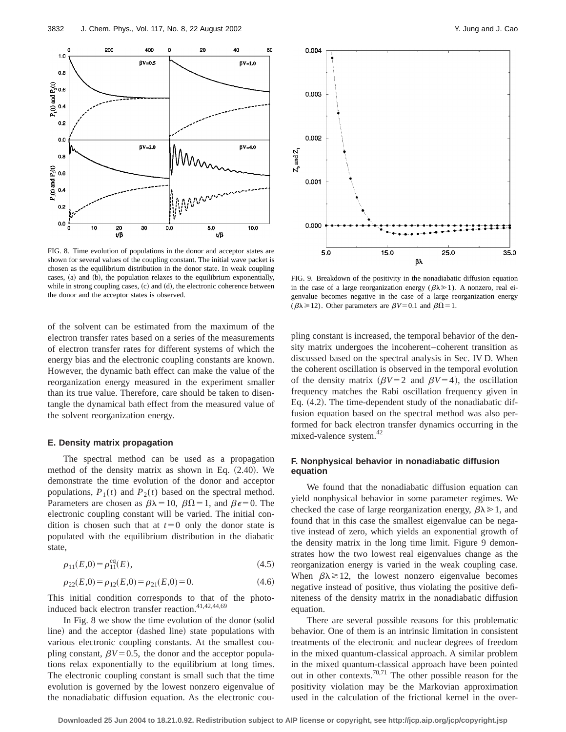

FIG. 8. Time evolution of populations in the donor and acceptor states are shown for several values of the coupling constant. The initial wave packet is chosen as the equilibrium distribution in the donor state. In weak coupling cases,  $(a)$  and  $(b)$ , the population relaxes to the equilibrium exponentially, while in strong coupling cases,  $(c)$  and  $(d)$ , the electronic coherence between the donor and the acceptor states is observed.

of the solvent can be estimated from the maximum of the electron transfer rates based on a series of the measurements of electron transfer rates for different systems of which the energy bias and the electronic coupling constants are known. However, the dynamic bath effect can make the value of the reorganization energy measured in the experiment smaller than its true value. Therefore, care should be taken to disentangle the dynamical bath effect from the measured value of the solvent reorganization energy.

#### **E. Density matrix propagation**

The spectral method can be used as a propagation method of the density matrix as shown in Eq.  $(2.40)$ . We demonstrate the time evolution of the donor and acceptor populations,  $P_1(t)$  and  $P_2(t)$  based on the spectral method. Parameters are chosen as  $\beta \lambda = 10$ ,  $\beta \Omega = 1$ , and  $\beta \epsilon = 0$ . The electronic coupling constant will be varied. The initial condition is chosen such that at  $t=0$  only the donor state is populated with the equilibrium distribution in the diabatic state,

$$
\rho_{11}(E,0) = \rho_{11}^{\text{eq}}(E),\tag{4.5}
$$

$$
\rho_{22}(E,0) = \rho_{12}(E,0) = \rho_{21}(E,0) = 0.
$$
\n(4.6)

This initial condition corresponds to that of the photoinduced back electron transfer reaction.<sup>41,42,44,69</sup>

In Fig. 8 we show the time evolution of the donor (solid line) and the acceptor (dashed line) state populations with various electronic coupling constants. At the smallest coupling constant,  $\beta V = 0.5$ , the donor and the acceptor populations relax exponentially to the equilibrium at long times. The electronic coupling constant is small such that the time evolution is governed by the lowest nonzero eigenvalue of the nonadiabatic diffusion equation. As the electronic cou-



FIG. 9. Breakdown of the positivity in the nonadiabatic diffusion equation in the case of a large reorganization energy ( $\beta \lambda \ge 1$ ). A nonzero, real eigenvalue becomes negative in the case of a large reorganization energy  $(\beta \lambda \ge 12)$ . Other parameters are  $\beta V = 0.1$  and  $\beta \Omega = 1$ .

pling constant is increased, the temporal behavior of the density matrix undergoes the incoherent–coherent transition as discussed based on the spectral analysis in Sec. IV D. When the coherent oscillation is observed in the temporal evolution of the density matrix  $(\beta V=2$  and  $\beta V=4)$ , the oscillation frequency matches the Rabi oscillation frequency given in Eq.  $(4.2)$ . The time-dependent study of the nonadiabatic diffusion equation based on the spectral method was also performed for back electron transfer dynamics occurring in the mixed-valence system.42

# **F. Nonphysical behavior in nonadiabatic diffusion equation**

We found that the nonadiabatic diffusion equation can yield nonphysical behavior in some parameter regimes. We checked the case of large reorganization energy,  $\beta \lambda \ge 1$ , and found that in this case the smallest eigenvalue can be negative instead of zero, which yields an exponential growth of the density matrix in the long time limit. Figure 9 demonstrates how the two lowest real eigenvalues change as the reorganization energy is varied in the weak coupling case. When  $\beta \lambda \gtrsim 12$ , the lowest nonzero eigenvalue becomes negative instead of positive, thus violating the positive definiteness of the density matrix in the nonadiabatic diffusion equation.

There are several possible reasons for this problematic behavior. One of them is an intrinsic limitation in consistent treatments of the electronic and nuclear degrees of freedom in the mixed quantum-classical approach. A similar problem in the mixed quantum-classical approach have been pointed out in other contexts.70,71 The other possible reason for the positivity violation may be the Markovian approximation used in the calculation of the frictional kernel in the over-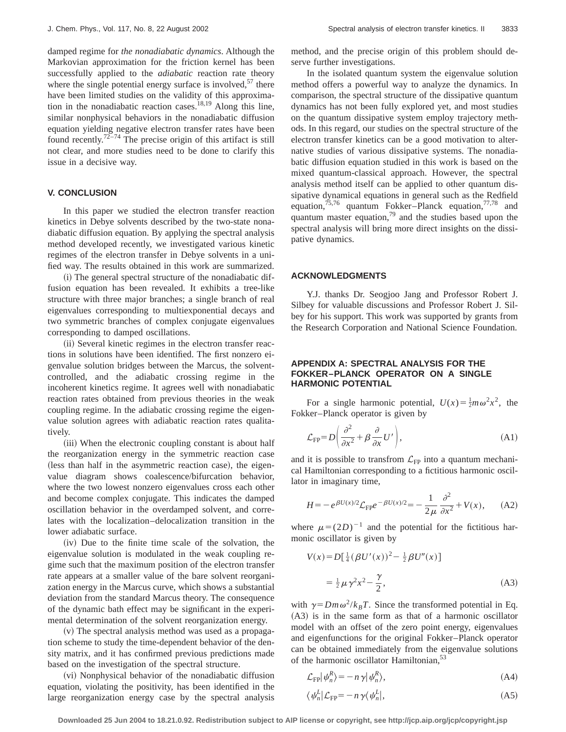damped regime for *the nonadiabatic dynamics*. Although the Markovian approximation for the friction kernel has been successfully applied to the *adiabatic* reaction rate theory where the single potential energy surface is involved,  $57$  there have been limited studies on the validity of this approximation in the nonadiabatic reaction cases.<sup>18,19</sup> Along this line, similar nonphysical behaviors in the nonadiabatic diffusion equation yielding negative electron transfer rates have been found recently.<sup>72-74</sup> The precise origin of this artifact is still not clear, and more studies need to be done to clarify this issue in a decisive way.

# **V. CONCLUSION**

In this paper we studied the electron transfer reaction kinetics in Debye solvents described by the two-state nonadiabatic diffusion equation. By applying the spectral analysis method developed recently, we investigated various kinetic regimes of the electron transfer in Debye solvents in a unified way. The results obtained in this work are summarized.

(i) The general spectral structure of the nonadiabatic diffusion equation has been revealed. It exhibits a tree-like structure with three major branches; a single branch of real eigenvalues corresponding to multiexponential decays and two symmetric branches of complex conjugate eigenvalues corresponding to damped oscillations.

(ii) Several kinetic regimes in the electron transfer reactions in solutions have been identified. The first nonzero eigenvalue solution bridges between the Marcus, the solventcontrolled, and the adiabatic crossing regime in the incoherent kinetics regime. It agrees well with nonadiabatic reaction rates obtained from previous theories in the weak coupling regime. In the adiabatic crossing regime the eigenvalue solution agrees with adiabatic reaction rates qualitatively.

(iii) When the electronic coupling constant is about half the reorganization energy in the symmetric reaction case (less than half in the asymmetric reaction case), the eigenvalue diagram shows coalescence/bifurcation behavior, where the two lowest nonzero eigenvalues cross each other and become complex conjugate. This indicates the damped oscillation behavior in the overdamped solvent, and correlates with the localization–delocalization transition in the lower adiabatic surface.

(iv) Due to the finite time scale of the solvation, the eigenvalue solution is modulated in the weak coupling regime such that the maximum position of the electron transfer rate appears at a smaller value of the bare solvent reorganization energy in the Marcus curve, which shows a substantial deviation from the standard Marcus theory. The consequence of the dynamic bath effect may be significant in the experimental determination of the solvent reorganization energy.

 $(v)$  The spectral analysis method was used as a propagation scheme to study the time-dependent behavior of the density matrix, and it has confirmed previous predictions made based on the investigation of the spectral structure.

(vi) Nonphysical behavior of the nonadiabatic diffusion equation, violating the positivity, has been identified in the large reorganization energy case by the spectral analysis method, and the precise origin of this problem should deserve further investigations.

In the isolated quantum system the eigenvalue solution method offers a powerful way to analyze the dynamics. In comparison, the spectral structure of the dissipative quantum dynamics has not been fully explored yet, and most studies on the quantum dissipative system employ trajectory methods. In this regard, our studies on the spectral structure of the electron transfer kinetics can be a good motivation to alternative studies of various dissipative systems. The nonadiabatic diffusion equation studied in this work is based on the mixed quantum-classical approach. However, the spectral analysis method itself can be applied to other quantum dissipative dynamical equations in general such as the Redfield equation,<sup>75,76</sup> quantum Fokker–Planck equation,<sup>77,78</sup> and quantum master equation, $79$  and the studies based upon the spectral analysis will bring more direct insights on the dissipative dynamics.

#### **ACKNOWLEDGMENTS**

Y.J. thanks Dr. Seogjoo Jang and Professor Robert J. Silbey for valuable discussions and Professor Robert J. Silbey for his support. This work was supported by grants from the Research Corporation and National Science Foundation.

# **APPENDIX A: SPECTRAL ANALYSIS FOR THE FOKKER–PLANCK OPERATOR ON A SINGLE HARMONIC POTENTIAL**

For a single harmonic potential,  $U(x) = \frac{1}{2}m\omega^2 x^2$ , the Fokker–Planck operator is given by

$$
\mathcal{L}_{\rm FP} = D \bigg( \frac{\partial^2}{\partial x^2} + \beta \frac{\partial}{\partial x} U' \bigg),\tag{A1}
$$

and it is possible to transfrom  $\mathcal{L}_{FP}$  into a quantum mechanical Hamiltonian corresponding to a fictitious harmonic oscillator in imaginary time,

$$
H = -e^{\beta U(x)/2} \mathcal{L}_{\text{FP}} e^{-\beta U(x)/2} = -\frac{1}{2\mu} \frac{\partial^2}{\partial x^2} + V(x), \quad (A2)
$$

where  $\mu=(2D)^{-1}$  and the potential for the fictitious harmonic oscillator is given by

$$
V(x) = D[\frac{1}{4}(\beta U'(x))^2 - \frac{1}{2}\beta U''(x)]
$$
  
=  $\frac{1}{2}\mu \gamma^2 x^2 - \frac{\gamma}{2}$ , (A3)

with  $\gamma = Dm\omega^2/k_BT$ . Since the transformed potential in Eq.  $(A3)$  is in the same form as that of a harmonic oscillator model with an offset of the zero point energy, eigenvalues and eigenfunctions for the original Fokker–Planck operator can be obtained immediately from the eigenvalue solutions of the harmonic oscillator Hamiltonian,<sup>53</sup>

$$
\mathcal{L}_{\rm FP} |\psi_n^R \rangle = -n \gamma |\psi_n^R \rangle, \tag{A4}
$$

$$
\langle \psi_n^L | \mathcal{L}_{FP} = -n \, \gamma \langle \psi_n^L |, \tag{A5}
$$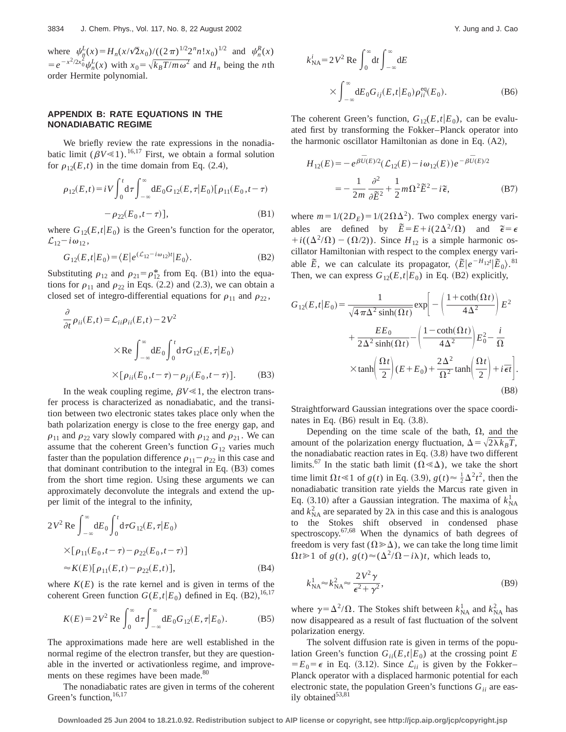where  $\psi_n^L(x) = H_n(x/\sqrt{2}x_0)/((2\pi)^{1/2}2^n n!x_0)^{1/2}$  and  $\psi_n^R(x)$  $= e^{-x^2/2x_0^2} \psi_n^L(x)$  with  $x_0 = \sqrt{k_B T/m \omega^2}$  and  $H_n$  being the *n*th order Hermite polynomial.

# **APPENDIX B: RATE EQUATIONS IN THE NONADIABATIC REGIME**

We briefly review the rate expressions in the nonadiabatic limit ( $\beta V \ll 1$ ).<sup>16,17</sup> First, we obtain a formal solution for  $\rho_{12}(E,t)$  in the time domain from Eq. (2.4),

$$
\rho_{12}(E,t) = iV \int_0^t d\tau \int_{-\infty}^{\infty} dE_0 G_{12}(E,\tau|E_0) [\rho_{11}(E_0,t-\tau)]
$$
  
-  $\rho_{22}(E_0,t-\tau)],$  (B1)

where  $G_{12}(E,t|E_0)$  is the Green's function for the operator,  $\mathcal{L}_{12}$ <sup>-</sup> $i\omega_{12}$ ,

$$
G_{12}(E,t|E_0) = \langle E|e^{(\mathcal{L}_{12} - i\omega_{12})t}|E_0\rangle.
$$
 (B2)

Substituting  $\rho_{12}$  and  $\rho_{21} = \rho_{12}^*$  from Eq. (B1) into the equations for  $\rho_{11}$  and  $\rho_{22}$  in Eqs. (2.2) and (2.3), we can obtain a closed set of integro-differential equations for  $\rho_{11}$  and  $\rho_{22}$ ,

$$
\frac{\partial}{\partial t} \rho_{ii}(E, t) = \mathcal{L}_{ii} \rho_{ii}(E, t) - 2V^2
$$
\n
$$
\times \text{Re} \int_{-\infty}^{\infty} dE_0 \int_0^t d\tau G_{12}(E, \tau | E_0)
$$
\n
$$
\times [\rho_{ii}(E_0, t - \tau) - \rho_{jj}(E_0, t - \tau)]. \tag{B3}
$$

In the weak coupling regime,  $\beta V \ll 1$ , the electron transfer process is characterized as nonadiabatic, and the transition between two electronic states takes place only when the bath polarization energy is close to the free energy gap, and  $\rho_{11}$  and  $\rho_{22}$  vary slowly compared with  $\rho_{12}$  and  $\rho_{21}$ . We can assume that the coherent Green's function  $G_{12}$  varies much faster than the population difference  $\rho_{11} - \rho_{22}$  in this case and that dominant contribution to the integral in Eq.  $(B3)$  comes from the short time region. Using these arguments we can approximately deconvolute the integrals and extend the upper limit of the integral to the infinity,

$$
2V^{2} \operatorname{Re} \int_{-\infty}^{\infty} dE_{0} \int_{0}^{t} d\tau G_{12}(E, \tau | E_{0})
$$
  
 
$$
\times [\rho_{11}(E_{0}, t-\tau) - \rho_{22}(E_{0}, t-\tau)]
$$
  
 
$$
\approx K(E) [\rho_{11}(E, t) - \rho_{22}(E, t)],
$$
 (B4)

where  $K(E)$  is the rate kernel and is given in terms of the coherent Green function  $G(E,t|E_0)$  defined in Eq. (B2), <sup>16,17</sup>

$$
K(E) = 2V^2 \text{ Re } \int_0^\infty d\tau \int_{-\infty}^\infty dE_0 G_{12}(E, \tau | E_0). \tag{B5}
$$

The approximations made here are well established in the normal regime of the electron transfer, but they are questionable in the inverted or activationless regime, and improvements on these regimes have been made.<sup>80</sup>

The nonadiabatic rates are given in terms of the coherent Green's function, 16,17

$$
k_{\text{NA}}^{i} = 2V^{2} \text{ Re } \int_{0}^{\infty} dt \int_{-\infty}^{\infty} dE
$$
  
 
$$
\times \int_{-\infty}^{\infty} dE_{0} G_{ij}(E, t | E_{0}) \rho_{ii}^{\text{eq}}(E_{0}). \tag{B6}
$$

The coherent Green's function,  $G_{12}(E,t|E_0)$ , can be evaluated first by transforming the Fokker–Planck operator into the harmonic oscillator Hamiltonian as done in Eq.  $(A2)$ ,

$$
H_{12}(E) = -e^{\beta \bar{U}(E)/2} (\mathcal{L}_{12}(E) - i \omega_{12}(E)) e^{-\beta \bar{U}(E)/2}
$$

$$
= -\frac{1}{2m} \frac{\partial^2}{\partial \tilde{E}^2} + \frac{1}{2} m \Omega^2 \tilde{E}^2 - i \tilde{\epsilon}, \tag{B7}
$$

where  $m=1/(2D_E)=1/(2\Omega\Delta^2)$ . Two complex energy variables are defined by  $\tilde{E} = E + i(2\Delta^2/\Omega)$  and  $\tilde{\epsilon} = \epsilon$  $+i((\Delta^2/\Omega) - (\Omega/2))$ . Since  $H_{12}$  is a simple harmonic oscillator Hamiltonian with respect to the complex energy variable  $\tilde{E}$ , we can calculate its propagator,  $\langle \tilde{E} | e^{-H_{12}t} | \tilde{E}_0 \rangle$ .<sup>81</sup> Then, we can express  $G_{12}(E,t|E_0)$  in Eq. (B2) explicitly,

$$
G_{12}(E,t|E_0) = \frac{1}{\sqrt{4\pi\Delta^2 \sinh(\Omega t)}} \exp\left[-\left(\frac{1+\coth(\Omega t)}{4\Delta^2}\right)E^2 + \frac{EE_0}{2\Delta^2 \sinh(\Omega t)} - \left(\frac{1-\coth(\Omega t)}{4\Delta^2}\right)E_0^2 - \frac{i}{\Omega}
$$

$$
\times \tanh\left(\frac{\Omega t}{2}\right)(E+E_0) + \frac{2\Delta^2}{\Omega^2}\tanh\left(\frac{\Omega t}{2}\right) + i\vec{\epsilon}t\right].
$$
\n(B8)

Straightforward Gaussian integrations over the space coordinates in Eq.  $(B6)$  result in Eq.  $(3.8)$ .

Depending on the time scale of the bath,  $\Omega$ , and the amount of the polarization energy fluctuation,  $\Delta = \sqrt{2\lambda k_B T}$ , the nonadiabatic reaction rates in Eq.  $(3.8)$  have two different limits.<sup>67</sup> In the static bath limit ( $\Omega \ll \Delta$ ), we take the short time limit  $\Omega t \le 1$  of  $g(t)$  in Eq. (3.9),  $g(t) \approx \frac{1}{2} \Delta^2 t^2$ , then the nonadiabatic transition rate yields the Marcus rate given in Eq. (3.10) after a Gaussian integration. The maxima of  $k_{NA}^1$ and  $k_{\text{NA}}^2$  are separated by 2 $\lambda$  in this case and this is analogous to the Stokes shift observed in condensed phase spectroscopy.<sup>67,68</sup> When the dynamics of bath degrees of freedom is very fast  $(\Omega \ge \Delta)$ , we can take the long time limit  $\Omega t \ge 1$  of  $g(t)$ ,  $g(t) \approx (\Delta^2/\Omega - i\lambda)t$ , which leads to,

$$
k_{\text{NA}}^1 \approx k_{\text{NA}}^2 \approx \frac{2V^2\gamma}{\epsilon^2 + \gamma^2},\tag{B9}
$$

where  $\gamma = \Delta^2/\Omega$ . The Stokes shift between  $k_{\text{NA}}^1$  and  $k_{\text{NA}}^2$  has now disappeared as a result of fast fluctuation of the solvent polarization energy.

The solvent diffusion rate is given in terms of the population Green's function  $G_{ii}(E,t|E_0)$  at the crossing point *E*  $E_0 = \epsilon$  in Eq. (3.12). Since  $\mathcal{L}_{ii}$  is given by the Fokker– Planck operator with a displaced harmonic potential for each electronic state, the population Green's functions  $G_{ii}$  are easily obtained<sup>53,81</sup>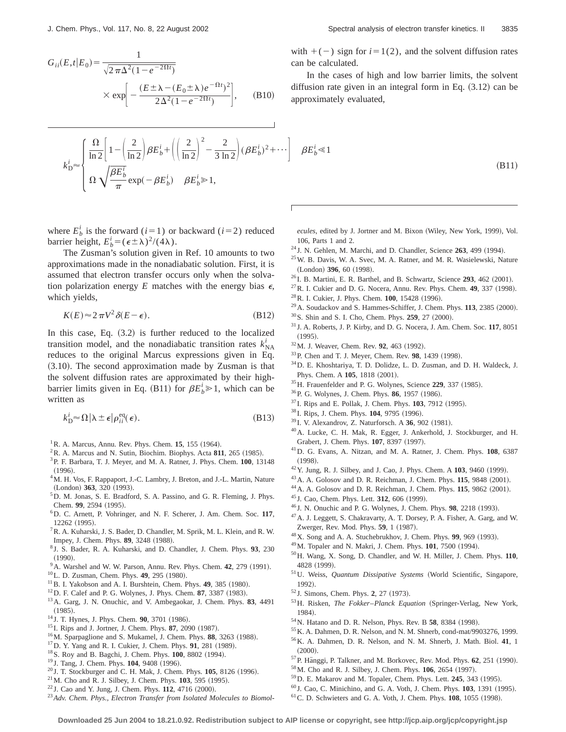$$
G_{ii}(E,t|E_0) = \frac{1}{\sqrt{2\pi\Delta^2(1-e^{-2\Omega t})}}
$$
  
× exp $\left(-\frac{(E\pm\lambda-(E_0\pm\lambda)e^{-\Omega t})^2}{2\Delta^2(1-e^{-2\Omega t})}\right)$ , (B10)

$$
k_{\mathrm{D}}^i{\approx}\begin{cases}\frac{\Omega}{\ln 2}\bigg[1{-}\bigg(\frac{2}{\ln 2}\bigg)\beta E_b^i{+}\bigg(\bigg(\frac{2}{\ln 2}\bigg)^2{-}\frac{2}{3\ln 2}\bigg)(\beta E_b^i)^2{+}\cdots\bigg]\hspace{0.3cm}\beta E_b^i\\\Omega\sqrt{\frac{\beta E_b^i}{\pi}}{\exp(-\beta E_b^i)}\hspace{0.3cm}\beta E_b^i{\geqslant}1,\end{cases}
$$

where  $E_b^i$  is the forward (*i*=1) or backward (*i*=2) reduced barrier height,  $E_b^i = (\epsilon \pm \lambda)^2/(4\lambda)$ .

The Zusman's solution given in Ref. 10 amounts to two approximations made in the nonadiabatic solution. First, it is assumed that electron transfer occurs only when the solvation polarization energy  $E$  matches with the energy bias  $\epsilon$ , which yields,

$$
K(E) \approx 2\pi V^2 \delta(E - \epsilon). \tag{B12}
$$

In this case, Eq.  $(3.2)$  is further reduced to the localized transition model, and the nonadiabatic transition rates  $k_{NA}^i$ reduces to the original Marcus expressions given in Eq.  $(3.10)$ . The second approximation made by Zusman is that the solvent diffusion rates are approximated by their highbarrier limits given in Eq. (B11) for  $\beta E_b^i \ge 1$ , which can be written as

$$
k_{\rm D}^i \approx \Omega \left| \lambda \pm \epsilon \right| \rho_{ii}^{\rm eq}(\epsilon). \tag{B13}
$$

- ${}^{1}$ R. A. Marcus, Annu. Rev. Phys. Chem. **15**, 155 (1964).
- $2R$ . A. Marcus and N. Sutin, Biochim. Biophys. Acta 811, 265 (1985).
- 3P. F. Barbara, T. J. Meyer, and M. A. Ratner, J. Phys. Chem. **100**, 13148  $(1996).$
- <sup>4</sup>M. H. Vos, F. Rappaport, J.-C. Lambry, J. Breton, and J.-L. Martin, Nature (London) 363, 320 (1993).
- 5D. M. Jonas, S. E. Bradford, S. A. Passino, and G. R. Fleming, J. Phys. Chem. 99, 2594 (1995).
- 6D. C. Arnett, P. Vohringer, and N. F. Scherer, J. Am. Chem. Soc. **117**, 12262 (1995).
- 7R. A. Kuharski, J. S. Bader, D. Chandler, M. Sprik, M. L. Klein, and R. W. Impey, J. Chem. Phys. **89**, 3248 (1988).
- <sup>8</sup> J. S. Bader, R. A. Kuharski, and D. Chandler, J. Chem. Phys. **93**, 230  $(1990).$
- $9^9$ A. Warshel and W. W. Parson, Annu. Rev. Phys. Chem. **42**, 279 (1991).
- <sup>10</sup>L. D. Zusman, Chem. Phys. **49**, 295 (1980).
- $11$ B. I. Yakobson and A. I. Burshtein, Chem. Phys. **49**, 385 (1980).
- $12$  D. F. Calef and P. G. Wolynes, J. Phys. Chem. **87**, 3387 (1983).
- 13A. Garg, J. N. Onuchic, and V. Ambegaokar, J. Chem. Phys. **83**, 4491  $(1985).$
- <sup>14</sup> J. T. Hynes, J. Phys. Chem. **90**, 3701 (1986).
- <sup>15</sup> I. Rips and J. Jortner, J. Chem. Phys. **87**, 2090 (1987).
- $^{16}$ M. Sparpaglione and S. Mukamel, J. Chem. Phys. 88, 3263 (1988).
- <sup>17</sup> D. Y. Yang and R. I. Cukier, J. Chem. Phys. **91**, 281 (1989).
- <sup>18</sup> S. Roy and B. Bagchi, J. Chem. Phys. **100**, 8802 (1994).
- <sup>19</sup> J. Tang, J. Chem. Phys. **104**, 9408 (1996).
- <sup>20</sup> J. T. Stockburger and C. H. Mak, J. Chem. Phys. **105**, 8126 (1996).
- $^{21}$ M. Cho and R. J. Silbey, J. Chem. Phys.  $103$ , 595 (1995).
- <sup>22</sup> J. Cao and Y. Jung, J. Chem. Phys. **112**, 4716 (2000).
- <sup>23</sup> Adv. Chem. Phys., Electron Transfer from Isolated Molecules to Biomol-

 $(B11)$ 

with  $+(-)$  sign for  $i=1(2)$ , and the solvent diffusion rates can be calculated.

In the cases of high and low barrier limits, the solvent diffusion rate given in an integral form in Eq.  $(3.12)$  can be approximately evaluated,

$$
\beta E_b^i{\ll}1
$$

- *ecules*, edited by J. Jortner and M. Bixon (Wiley, New York, 1999), Vol. 106, Parts 1 and 2.
- <sup>24</sup> J. N. Gehlen, M. Marchi, and D. Chandler, Science **263**, 499 (1994).
- 25W. B. Davis, W. A. Svec, M. A. Ratner, and M. R. Wasielewski, Nature (London) 396, 60 (1998).
- <sup>26</sup> I. B. Martini, E. R. Barthel, and B. Schwartz, Science **293**, 462 (2001).
- $^{27}$ R. I. Cukier and D. G. Nocera, Annu. Rev. Phys. Chem. **49**, 337 (1998).
- <sup>28</sup> R. I. Cukier, J. Phys. Chem. **100**, 15428 (1996).
- $^{29}$  A. Soudackov and S. Hammes-Schiffer, J. Chem. Phys.  $113$ ,  $2385$   $(2000)$ .
- <sup>30</sup> S. Shin and S. I. Cho, Chem. Phys. **259**, 27 (2000).
- <sup>31</sup> J. A. Roberts, J. P. Kirby, and D. G. Nocera, J. Am. Chem. Soc. **117**, 8051  $(1995).$
- <sup>32</sup> M. J. Weaver, Chem. Rev. 92, 463 (1992).
- <sup>33</sup>P. Chen and T. J. Meyer, Chem. Rev. 98, 1439 (1998).
- 34D. E. Khoshtariya, T. D. Dolidze, L. D. Zusman, and D. H. Waldeck, J. Phys. Chem. A 105, 1818 (2001).
- <sup>35</sup>H. Frauenfelder and P. G. Wolynes, Science 229, 337 (1985).
- <sup>36</sup>P. G. Wolynes, J. Chem. Phys. **86**, 1957 (1986).
- <sup>37</sup> I. Rips and E. Pollak, J. Chem. Phys. **103**, 7912 (1995).
- <sup>38</sup> I. Rips, J. Chem. Phys. **104**, 9795 (1996).
- <sup>39</sup> I. V. Alexandrov, Z. Naturforsch. A **36**, 902 (1981).
- 40A. Lucke, C. H. Mak, R. Egger, J. Ankerhold, J. Stockburger, and H. Grabert, J. Chem. Phys. **107**, 8397 (1997).
- 41D. G. Evans, A. Nitzan, and M. A. Ratner, J. Chem. Phys. **108**, 6387  $(1998)$ .
- <sup>42</sup> Y. Jung, R. J. Silbey, and J. Cao, J. Phys. Chem. A **103**, 9460 (1999).
- <sup>43</sup> A. A. Golosov and D. R. Reichman, J. Chem. Phys. **115**, 9848 (2001).
- <sup>44</sup> A. A. Golosov and D. R. Reichman, J. Chem. Phys. **115**, 9862 (2001).
- <sup>45</sup> J. Cao, Chem. Phys. Lett. **312**, 606 (1999).
- <sup>46</sup> J. N. Onuchic and P. G. Wolynes, J. Chem. Phys. **98**, 2218 (1993).
- 47A. J. Leggett, S. Chakravarty, A. T. Dorsey, P. A. Fisher, A. Garg, and W. Zwerger, Rev. Mod. Phys. **59**, 1 (1987).
- <sup>48</sup>X. Song and A. A. Stuchebrukhov, J. Chem. Phys. **99**, 969 (1993).
- <sup>49</sup> M. Topaler and N. Makri, J. Chem. Phys. **101**, 7500 (1994).
- 50H. Wang, X. Song, D. Chandler, and W. H. Miller, J. Chem. Phys. **110**, 4828 (1999).
- <sup>51</sup>U. Weiss, *Quantum Dissipative Systems* (World Scientific, Singapore, 1992).
- <sup>52</sup> J. Simons, Chem. Phys. 2, 27 (1973).
- <sup>53</sup> H. Risken, *The Fokker-Planck Equation* (Springer-Verlag, New York, 1984).
- <sup>54</sup> N. Hatano and D. R. Nelson, Phys. Rev. B **58**, 8384 (1998).
- 55K. A. Dahmen, D. R. Nelson, and N. M. Shnerb, cond-mat/9903276, 1999.
- 56K. A. Dahmen, D. R. Nelson, and N. M. Shnerb, J. Math. Biol. **41**, 1  $(2000).$
- <sup>57</sup>P. Hänggi, P. Talkner, and M. Borkovec, Rev. Mod. Phys. **62**, 251 (1990).
- <sup>58</sup> M. Cho and R. J. Silbey, J. Chem. Phys. **106**, 2654 (1997).
- <sup>59</sup> D. E. Makarov and M. Topaler, Chem. Phys. Lett. **245**, 343 (1995).
- <sup>60</sup> J. Cao, C. Minichino, and G. A. Voth, J. Chem. Phys. **103**, 1391 (1995).
- $^{61}$ C. D. Schwieters and G. A. Voth, J. Chem. Phys.  $108$ ,  $1055$  (1998).